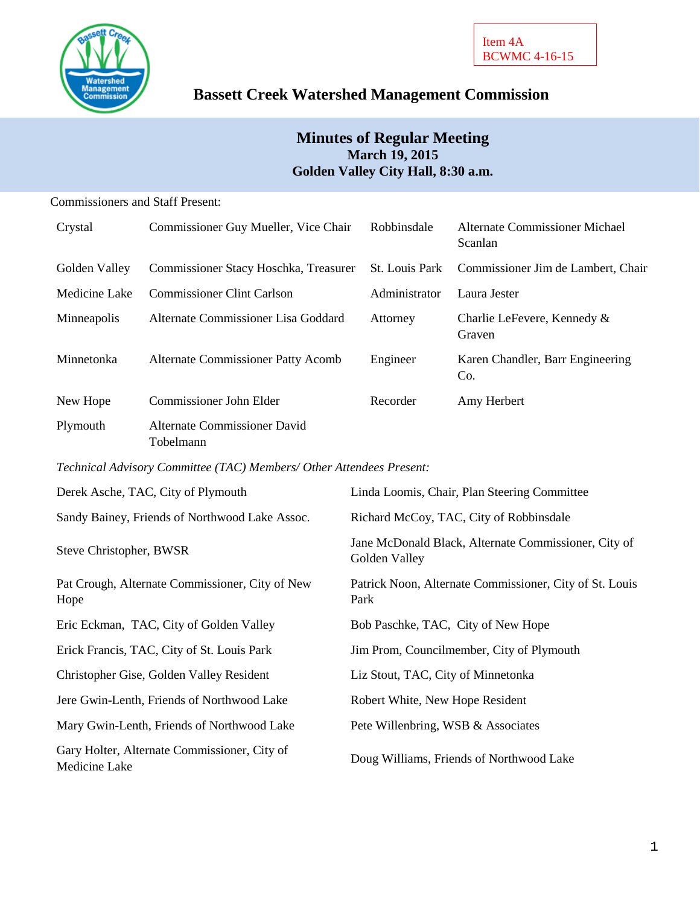

# **Bassett Creek Watershed Management Commission**

# **Minutes of Regular Meeting March 19, 2015 Golden Valley City Hall, 8:30 a.m.**

# Commissioners and Staff Present:

| Crystal       | Commissioner Guy Mueller, Vice Chair      | Robbinsdale    | Alternate Commissioner Michael<br>Scanlan |
|---------------|-------------------------------------------|----------------|-------------------------------------------|
| Golden Valley | Commissioner Stacy Hoschka, Treasurer     | St. Louis Park | Commissioner Jim de Lambert, Chair        |
| Medicine Lake | <b>Commissioner Clint Carlson</b>         | Administrator  | Laura Jester                              |
| Minneapolis   | Alternate Commissioner Lisa Goddard       | Attorney       | Charlie LeFevere, Kennedy &<br>Graven     |
| Minnetonka    | <b>Alternate Commissioner Patty Acomb</b> | Engineer       | Karen Chandler, Barr Engineering<br>Co.   |
| New Hope      | Commissioner John Elder                   | Recorder       | Amy Herbert                               |
| Plymouth      | Alternate Commissioner David<br>Tobelmann |                |                                           |

*Technical Advisory Committee (TAC) Members/ Other Attendees Present:*

| Derek Asche, TAC, City of Plymouth                            | Linda Loomis, Chair, Plan Steering Committee                          |
|---------------------------------------------------------------|-----------------------------------------------------------------------|
| Sandy Bainey, Friends of Northwood Lake Assoc.                | Richard McCoy, TAC, City of Robbinsdale                               |
| Steve Christopher, BWSR                                       | Jane McDonald Black, Alternate Commissioner, City of<br>Golden Valley |
| Pat Crough, Alternate Commissioner, City of New<br>Hope       | Patrick Noon, Alternate Commissioner, City of St. Louis<br>Park       |
| Eric Eckman, TAC, City of Golden Valley                       | Bob Paschke, TAC, City of New Hope                                    |
| Erick Francis, TAC, City of St. Louis Park                    | Jim Prom, Councilmember, City of Plymouth                             |
| Christopher Gise, Golden Valley Resident                      | Liz Stout, TAC, City of Minnetonka                                    |
| Jere Gwin-Lenth, Friends of Northwood Lake                    | Robert White, New Hope Resident                                       |
| Mary Gwin-Lenth, Friends of Northwood Lake                    | Pete Willenbring, WSB & Associates                                    |
| Gary Holter, Alternate Commissioner, City of<br>Medicine Lake | Doug Williams, Friends of Northwood Lake                              |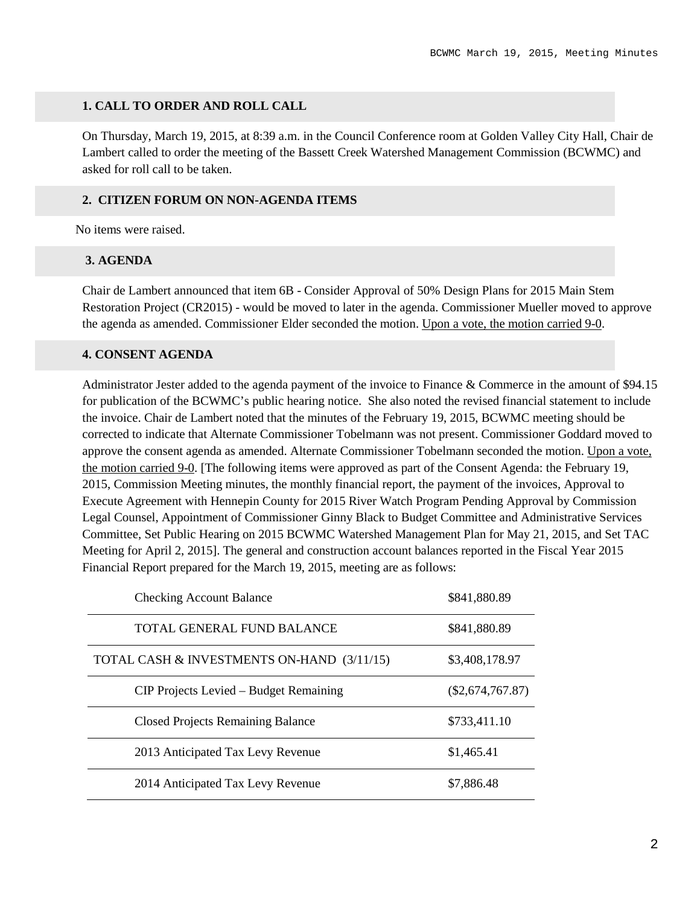# **1. CALL TO ORDER AND ROLL CALL**

On Thursday, March 19, 2015, at 8:39 a.m. in the Council Conference room at Golden Valley City Hall, Chair de Lambert called to order the meeting of the Bassett Creek Watershed Management Commission (BCWMC) and asked for roll call to be taken.

#### **2. CITIZEN FORUM ON NON-AGENDA ITEMS**

No items were raised.

#### **3. AGENDA**

Chair de Lambert announced that item 6B - Consider Approval of 50% Design Plans for 2015 Main Stem Restoration Project (CR2015) - would be moved to later in the agenda. Commissioner Mueller moved to approve the agenda as amended. Commissioner Elder seconded the motion. Upon a vote, the motion carried 9-0.

# **4. CONSENT AGENDA**

Administrator Jester added to the agenda payment of the invoice to Finance & Commerce in the amount of \$94.15 for publication of the BCWMC's public hearing notice. She also noted the revised financial statement to include the invoice. Chair de Lambert noted that the minutes of the February 19, 2015, BCWMC meeting should be corrected to indicate that Alternate Commissioner Tobelmann was not present. Commissioner Goddard moved to approve the consent agenda as amended. Alternate Commissioner Tobelmann seconded the motion. Upon a vote, the motion carried 9-0. [The following items were approved as part of the Consent Agenda: the February 19, 2015, Commission Meeting minutes, the monthly financial report, the payment of the invoices, Approval to Execute Agreement with Hennepin County for 2015 River Watch Program Pending Approval by Commission Legal Counsel, Appointment of Commissioner Ginny Black to Budget Committee and Administrative Services Committee, Set Public Hearing on 2015 BCWMC Watershed Management Plan for May 21, 2015, and Set TAC Meeting for April 2, 2015]. The general and construction account balances reported in the Fiscal Year 2015 Financial Report prepared for the March 19, 2015, meeting are as follows:

| <b>Checking Account Balance</b>            | \$841,880.89       |
|--------------------------------------------|--------------------|
| TOTAL GENERAL FUND BALANCE                 | \$841,880.89       |
| TOTAL CASH & INVESTMENTS ON-HAND (3/11/15) | \$3,408,178.97     |
| CIP Projects Levied – Budget Remaining     | $(\$2,674,767.87)$ |
| <b>Closed Projects Remaining Balance</b>   | \$733,411.10       |
| 2013 Anticipated Tax Levy Revenue          | \$1,465.41         |
| 2014 Anticipated Tax Levy Revenue          | \$7,886.48         |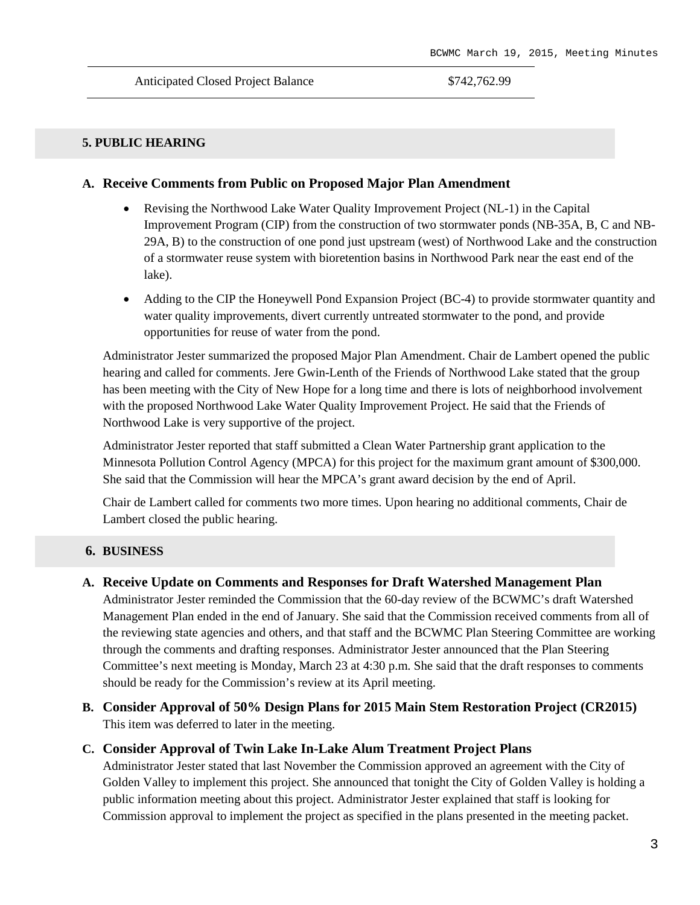#### **5. PUBLIC HEARING**

#### **A. Receive Comments from Public on Proposed Major Plan Amendment**

- Revising the Northwood Lake Water Quality Improvement Project (NL-1) in the Capital Improvement Program (CIP) from the construction of two stormwater ponds (NB-35A, B, C and NB-29A, B) to the construction of one pond just upstream (west) of Northwood Lake and the construction of a stormwater reuse system with bioretention basins in Northwood Park near the east end of the lake).
- Adding to the CIP the Honeywell Pond Expansion Project (BC-4) to provide stormwater quantity and water quality improvements, divert currently untreated stormwater to the pond, and provide opportunities for reuse of water from the pond.

Administrator Jester summarized the proposed Major Plan Amendment. Chair de Lambert opened the public hearing and called for comments. Jere Gwin-Lenth of the Friends of Northwood Lake stated that the group has been meeting with the City of New Hope for a long time and there is lots of neighborhood involvement with the proposed Northwood Lake Water Quality Improvement Project. He said that the Friends of Northwood Lake is very supportive of the project.

Administrator Jester reported that staff submitted a Clean Water Partnership grant application to the Minnesota Pollution Control Agency (MPCA) for this project for the maximum grant amount of \$300,000. She said that the Commission will hear the MPCA's grant award decision by the end of April.

Chair de Lambert called for comments two more times. Upon hearing no additional comments, Chair de Lambert closed the public hearing.

#### **6. BUSINESS**

#### **A. Receive Update on Comments and Responses for Draft Watershed Management Plan**

Administrator Jester reminded the Commission that the 60-day review of the BCWMC's draft Watershed Management Plan ended in the end of January. She said that the Commission received comments from all of the reviewing state agencies and others, and that staff and the BCWMC Plan Steering Committee are working through the comments and drafting responses. Administrator Jester announced that the Plan Steering Committee's next meeting is Monday, March 23 at 4:30 p.m. She said that the draft responses to comments should be ready for the Commission's review at its April meeting.

**B. Consider Approval of 50% Design Plans for 2015 Main Stem Restoration Project (CR2015)** This item was deferred to later in the meeting.

### **C. Consider Approval of Twin Lake In-Lake Alum Treatment Project Plans**

Administrator Jester stated that last November the Commission approved an agreement with the City of Golden Valley to implement this project. She announced that tonight the City of Golden Valley is holding a public information meeting about this project. Administrator Jester explained that staff is looking for Commission approval to implement the project as specified in the plans presented in the meeting packet.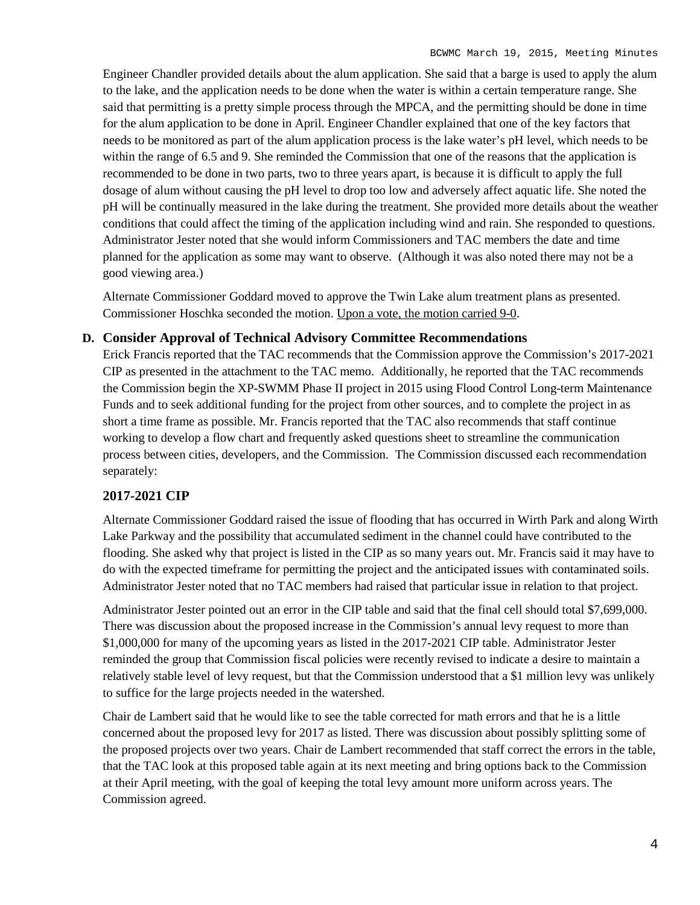Engineer Chandler provided details about the alum application. She said that a barge is used to apply the alum to the lake, and the application needs to be done when the water is within a certain temperature range. She said that permitting is a pretty simple process through the MPCA, and the permitting should be done in time for the alum application to be done in April. Engineer Chandler explained that one of the key factors that needs to be monitored as part of the alum application process is the lake water's pH level, which needs to be within the range of 6.5 and 9. She reminded the Commission that one of the reasons that the application is recommended to be done in two parts, two to three years apart, is because it is difficult to apply the full dosage of alum without causing the pH level to drop too low and adversely affect aquatic life. She noted the pH will be continually measured in the lake during the treatment. She provided more details about the weather conditions that could affect the timing of the application including wind and rain. She responded to questions. Administrator Jester noted that she would inform Commissioners and TAC members the date and time planned for the application as some may want to observe. (Although it was also noted there may not be a good viewing area.)

Alternate Commissioner Goddard moved to approve the Twin Lake alum treatment plans as presented. Commissioner Hoschka seconded the motion. Upon a vote, the motion carried 9-0.

# **D. Consider Approval of Technical Advisory Committee Recommendations**

Erick Francis reported that the TAC recommends that the Commission approve the Commission's 2017-2021 CIP as presented in the attachment to the TAC memo. Additionally, he reported that the TAC recommends the Commission begin the XP-SWMM Phase II project in 2015 using Flood Control Long-term Maintenance Funds and to seek additional funding for the project from other sources, and to complete the project in as short a time frame as possible. Mr. Francis reported that the TAC also recommends that staff continue working to develop a flow chart and frequently asked questions sheet to streamline the communication process between cities, developers, and the Commission. The Commission discussed each recommendation separately:

# **2017-2021 CIP**

Alternate Commissioner Goddard raised the issue of flooding that has occurred in Wirth Park and along Wirth Lake Parkway and the possibility that accumulated sediment in the channel could have contributed to the flooding. She asked why that project is listed in the CIP as so many years out. Mr. Francis said it may have to do with the expected timeframe for permitting the project and the anticipated issues with contaminated soils. Administrator Jester noted that no TAC members had raised that particular issue in relation to that project.

Administrator Jester pointed out an error in the CIP table and said that the final cell should total \$7,699,000. There was discussion about the proposed increase in the Commission's annual levy request to more than \$1,000,000 for many of the upcoming years as listed in the 2017-2021 CIP table. Administrator Jester reminded the group that Commission fiscal policies were recently revised to indicate a desire to maintain a relatively stable level of levy request, but that the Commission understood that a \$1 million levy was unlikely to suffice for the large projects needed in the watershed.

Chair de Lambert said that he would like to see the table corrected for math errors and that he is a little concerned about the proposed levy for 2017 as listed. There was discussion about possibly splitting some of the proposed projects over two years. Chair de Lambert recommended that staff correct the errors in the table, that the TAC look at this proposed table again at its next meeting and bring options back to the Commission at their April meeting, with the goal of keeping the total levy amount more uniform across years. The Commission agreed.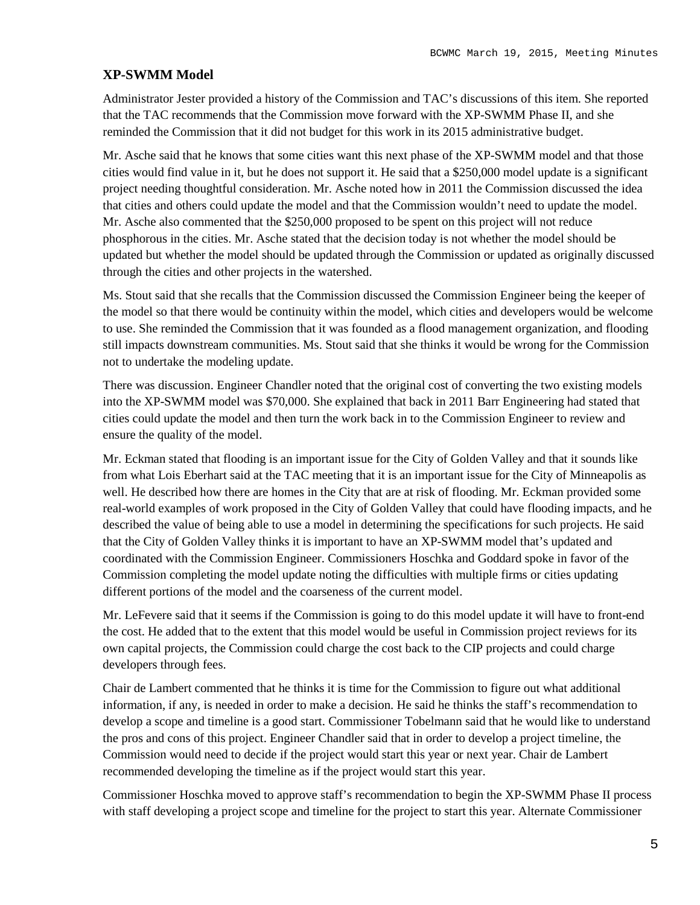# **XP-SWMM Model**

Administrator Jester provided a history of the Commission and TAC's discussions of this item. She reported that the TAC recommends that the Commission move forward with the XP-SWMM Phase II, and she reminded the Commission that it did not budget for this work in its 2015 administrative budget.

Mr. Asche said that he knows that some cities want this next phase of the XP-SWMM model and that those cities would find value in it, but he does not support it. He said that a \$250,000 model update is a significant project needing thoughtful consideration. Mr. Asche noted how in 2011 the Commission discussed the idea that cities and others could update the model and that the Commission wouldn't need to update the model. Mr. Asche also commented that the \$250,000 proposed to be spent on this project will not reduce phosphorous in the cities. Mr. Asche stated that the decision today is not whether the model should be updated but whether the model should be updated through the Commission or updated as originally discussed through the cities and other projects in the watershed.

Ms. Stout said that she recalls that the Commission discussed the Commission Engineer being the keeper of the model so that there would be continuity within the model, which cities and developers would be welcome to use. She reminded the Commission that it was founded as a flood management organization, and flooding still impacts downstream communities. Ms. Stout said that she thinks it would be wrong for the Commission not to undertake the modeling update.

There was discussion. Engineer Chandler noted that the original cost of converting the two existing models into the XP-SWMM model was \$70,000. She explained that back in 2011 Barr Engineering had stated that cities could update the model and then turn the work back in to the Commission Engineer to review and ensure the quality of the model.

Mr. Eckman stated that flooding is an important issue for the City of Golden Valley and that it sounds like from what Lois Eberhart said at the TAC meeting that it is an important issue for the City of Minneapolis as well. He described how there are homes in the City that are at risk of flooding. Mr. Eckman provided some real-world examples of work proposed in the City of Golden Valley that could have flooding impacts, and he described the value of being able to use a model in determining the specifications for such projects. He said that the City of Golden Valley thinks it is important to have an XP-SWMM model that's updated and coordinated with the Commission Engineer. Commissioners Hoschka and Goddard spoke in favor of the Commission completing the model update noting the difficulties with multiple firms or cities updating different portions of the model and the coarseness of the current model.

Mr. LeFevere said that it seems if the Commission is going to do this model update it will have to front-end the cost. He added that to the extent that this model would be useful in Commission project reviews for its own capital projects, the Commission could charge the cost back to the CIP projects and could charge developers through fees.

Chair de Lambert commented that he thinks it is time for the Commission to figure out what additional information, if any, is needed in order to make a decision. He said he thinks the staff's recommendation to develop a scope and timeline is a good start. Commissioner Tobelmann said that he would like to understand the pros and cons of this project. Engineer Chandler said that in order to develop a project timeline, the Commission would need to decide if the project would start this year or next year. Chair de Lambert recommended developing the timeline as if the project would start this year.

Commissioner Hoschka moved to approve staff's recommendation to begin the XP-SWMM Phase II process with staff developing a project scope and timeline for the project to start this year. Alternate Commissioner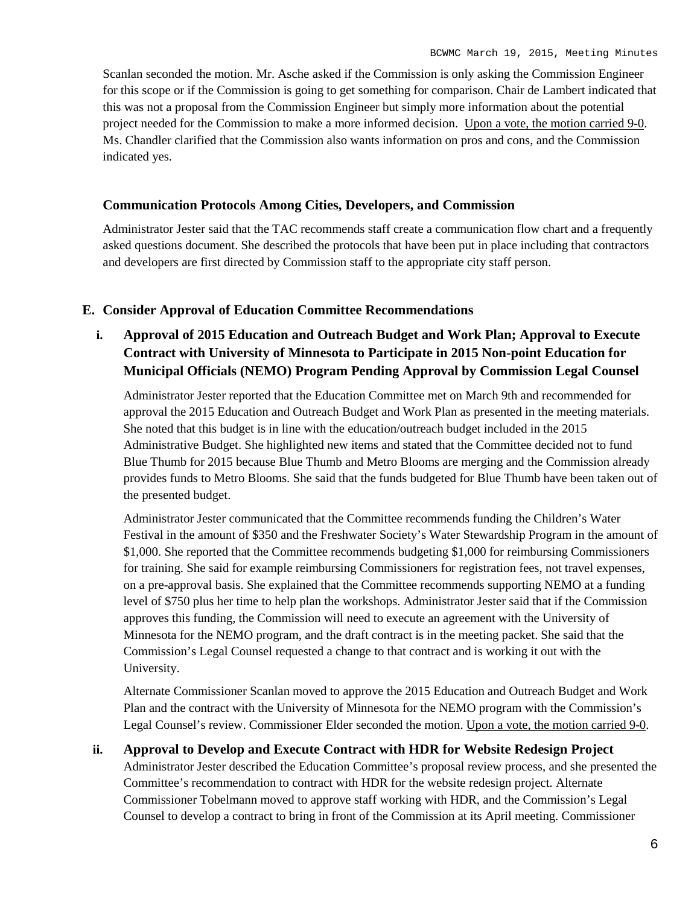Scanlan seconded the motion. Mr. Asche asked if the Commission is only asking the Commission Engineer for this scope or if the Commission is going to get something for comparison. Chair de Lambert indicated that this was not a proposal from the Commission Engineer but simply more information about the potential project needed for the Commission to make a more informed decision. Upon a vote, the motion carried 9-0. Ms. Chandler clarified that the Commission also wants information on pros and cons, and the Commission indicated yes.

# **Communication Protocols Among Cities, Developers, and Commission**

Administrator Jester said that the TAC recommends staff create a communication flow chart and a frequently asked questions document. She described the protocols that have been put in place including that contractors and developers are first directed by Commission staff to the appropriate city staff person.

# **E. Consider Approval of Education Committee Recommendations**

**i. Approval of 2015 Education and Outreach Budget and Work Plan; Approval to Execute Contract with University of Minnesota to Participate in 2015 Non-point Education for Municipal Officials (NEMO) Program Pending Approval by Commission Legal Counsel**

Administrator Jester reported that the Education Committee met on March 9th and recommended for approval the 2015 Education and Outreach Budget and Work Plan as presented in the meeting materials. She noted that this budget is in line with the education/outreach budget included in the 2015 Administrative Budget. She highlighted new items and stated that the Committee decided not to fund Blue Thumb for 2015 because Blue Thumb and Metro Blooms are merging and the Commission already provides funds to Metro Blooms. She said that the funds budgeted for Blue Thumb have been taken out of the presented budget.

Administrator Jester communicated that the Committee recommends funding the Children's Water Festival in the amount of \$350 and the Freshwater Society's Water Stewardship Program in the amount of \$1,000. She reported that the Committee recommends budgeting \$1,000 for reimbursing Commissioners for training. She said for example reimbursing Commissioners for registration fees, not travel expenses, on a pre-approval basis. She explained that the Committee recommends supporting NEMO at a funding level of \$750 plus her time to help plan the workshops. Administrator Jester said that if the Commission approves this funding, the Commission will need to execute an agreement with the University of Minnesota for the NEMO program, and the draft contract is in the meeting packet. She said that the Commission's Legal Counsel requested a change to that contract and is working it out with the University.

Alternate Commissioner Scanlan moved to approve the 2015 Education and Outreach Budget and Work Plan and the contract with the University of Minnesota for the NEMO program with the Commission's Legal Counsel's review. Commissioner Elder seconded the motion. Upon a vote, the motion carried 9-0.

# **ii. Approval to Develop and Execute Contract with HDR for Website Redesign Project**

Administrator Jester described the Education Committee's proposal review process, and she presented the Committee's recommendation to contract with HDR for the website redesign project. Alternate Commissioner Tobelmann moved to approve staff working with HDR, and the Commission's Legal Counsel to develop a contract to bring in front of the Commission at its April meeting. Commissioner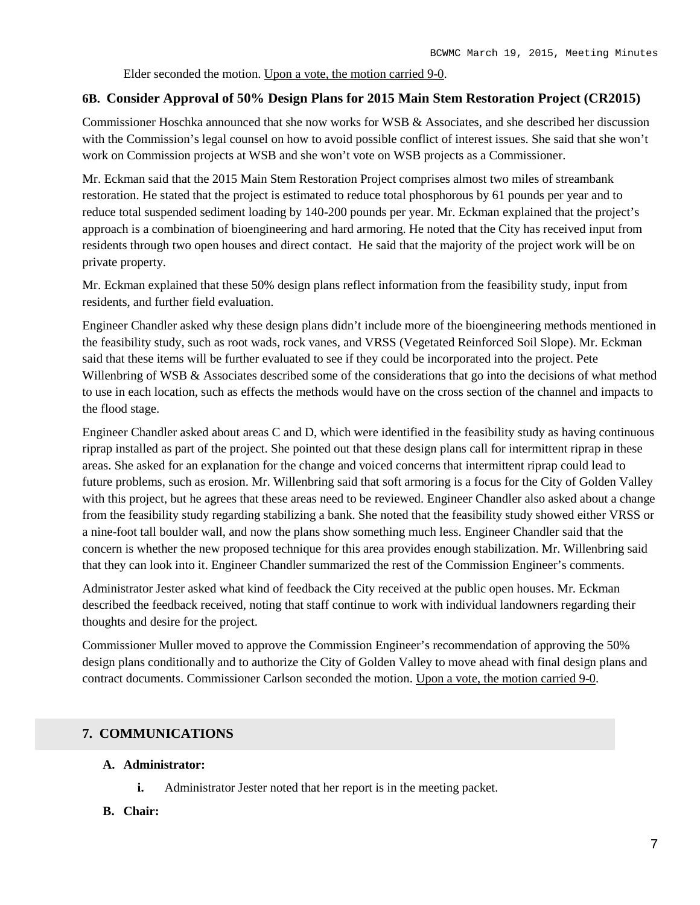Elder seconded the motion. Upon a vote, the motion carried 9-0.

# **6B. Consider Approval of 50% Design Plans for 2015 Main Stem Restoration Project (CR2015)**

Commissioner Hoschka announced that she now works for WSB & Associates, and she described her discussion with the Commission's legal counsel on how to avoid possible conflict of interest issues. She said that she won't work on Commission projects at WSB and she won't vote on WSB projects as a Commissioner.

Mr. Eckman said that the 2015 Main Stem Restoration Project comprises almost two miles of streambank restoration. He stated that the project is estimated to reduce total phosphorous by 61 pounds per year and to reduce total suspended sediment loading by 140-200 pounds per year. Mr. Eckman explained that the project's approach is a combination of bioengineering and hard armoring. He noted that the City has received input from residents through two open houses and direct contact. He said that the majority of the project work will be on private property.

Mr. Eckman explained that these 50% design plans reflect information from the feasibility study, input from residents, and further field evaluation.

Engineer Chandler asked why these design plans didn't include more of the bioengineering methods mentioned in the feasibility study, such as root wads, rock vanes, and VRSS (Vegetated Reinforced Soil Slope). Mr. Eckman said that these items will be further evaluated to see if they could be incorporated into the project. Pete Willenbring of WSB & Associates described some of the considerations that go into the decisions of what method to use in each location, such as effects the methods would have on the cross section of the channel and impacts to the flood stage.

Engineer Chandler asked about areas C and D, which were identified in the feasibility study as having continuous riprap installed as part of the project. She pointed out that these design plans call for intermittent riprap in these areas. She asked for an explanation for the change and voiced concerns that intermittent riprap could lead to future problems, such as erosion. Mr. Willenbring said that soft armoring is a focus for the City of Golden Valley with this project, but he agrees that these areas need to be reviewed. Engineer Chandler also asked about a change from the feasibility study regarding stabilizing a bank. She noted that the feasibility study showed either VRSS or a nine-foot tall boulder wall, and now the plans show something much less. Engineer Chandler said that the concern is whether the new proposed technique for this area provides enough stabilization. Mr. Willenbring said that they can look into it. Engineer Chandler summarized the rest of the Commission Engineer's comments.

Administrator Jester asked what kind of feedback the City received at the public open houses. Mr. Eckman described the feedback received, noting that staff continue to work with individual landowners regarding their thoughts and desire for the project.

Commissioner Muller moved to approve the Commission Engineer's recommendation of approving the 50% design plans conditionally and to authorize the City of Golden Valley to move ahead with final design plans and contract documents. Commissioner Carlson seconded the motion. Upon a vote, the motion carried 9-0.

# **7. COMMUNICATIONS**

# **A. Administrator:**

**i.** Administrator Jester noted that her report is in the meeting packet.

# **B. Chair:**